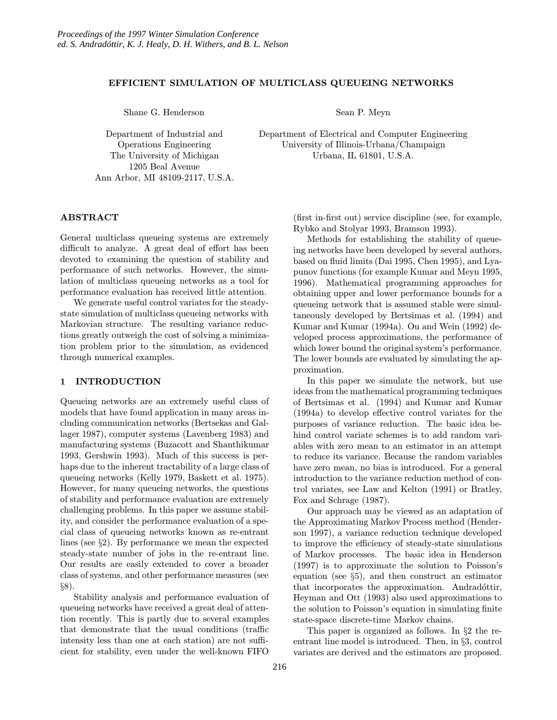#### EFFICIENT SIMULATION OF MULTICLASS QUEUEING NETWORKS

Shane G. Henderson

Sean P. Meyn

Department of Industrial and Operations Engineering The University of Michigan 1205 Beal Avenue Ann Arbor, MI 48109-2117, U.S.A. Department of Electrical and Computer Engineering University of Illinois-Urbana/Champaign Urbana, IL 61801, U.S.A.

## ABSTRACT

General multiclass queueing systems are extremely difficult to analyze. A great deal of effort has been devoted to examining the question of stability and performance of such networks. However, the simulation of multiclass queueing networks as a tool for performance evaluation has received little attention.

We generate useful control variates for the steadystate simulation of multiclass queueing networks with Markovian structure. The resulting variance reductions greatly outweigh the cost of solving a minimization problem prior to the simulation, as evidenced through numerical examples.

## 1 INTRODUCTION

Queueing networks are an extremely useful class of models that have found application in many areas including communication networks (Bertsekas and Gallager 1987), computer systems (Lavenberg 1983) and manufacturing systems (Buzacott and Shanthikumar 1993, Gershwin 1993). Much of this success is perhaps due to the inherent tractability of a large class of queueing networks (Kelly 1979, Baskett et al. 1975). However, for many queueing networks, the questions of stability and performance evaluation are extremely challenging problems. In this paper we assume stability, and consider the performance evaluation of a special class of queueing networks known as re-entrant lines (see §2). By performance we mean the expected steady-state number of jobs in the re-entrant line. Our results are easily extended to cover a broader class of systems, and other performance measures (see §8).

Stability analysis and performance evaluation of queueing networks have received a great deal of attention recently. This is partly due to several examples that demonstrate that the usual conditions (traffic intensity less than one at each station) are not sufficient for stability, even under the well-known FIFO

(first in-first out) service discipline (see, for example, Rybko and Stolyar 1993, Bramson 1993).

Methods for establishing the stability of queueing networks have been developed by several authors, based on fluid limits (Dai 1995, Chen 1995), and Lyapunov functions (for example Kumar and Meyn 1995, 1996). Mathematical programming approaches for obtaining upper and lower performance bounds for a queueing network that is assumed stable were simultaneously developed by Bertsimas et al. (1994) and Kumar and Kumar (1994a). Ou and Wein (1992) developed process approximations, the performance of which lower bound the original system's performance. The lower bounds are evaluated by simulating the approximation.

In this paper we simulate the network, but use ideas from the mathematical programming techniques of Bertsimas et al. (1994) and Kumar and Kumar (1994a) to develop effective control variates for the purposes of variance reduction. The basic idea behind control variate schemes is to add random variables with zero mean to an estimator in an attempt to reduce its variance. Because the random variables have zero mean, no bias is introduced. For a general introduction to the variance reduction method of control variates, see Law and Kelton (1991) or Bratley, Fox and Schrage (1987).

Our approach may be viewed as an adaptation of the Approximating Markov Process method (Henderson 1997), a variance reduction technique developed to improve the efficiency of steady-state simulations of Markov processes. The basic idea in Henderson (1997) is to approximate the solution to Poisson's equation (see §5), and then construct an estimator that incorporates the approximation. Andradottir, Heyman and Ott (1993) also used approximations to the solution to Poisson's equation in simulating finite state-space discrete-time Markov chains.

This paper is organized as follows. In §2 the reentrant line model is introduced. Then, in §3, control variates are derived and the estimators are proposed.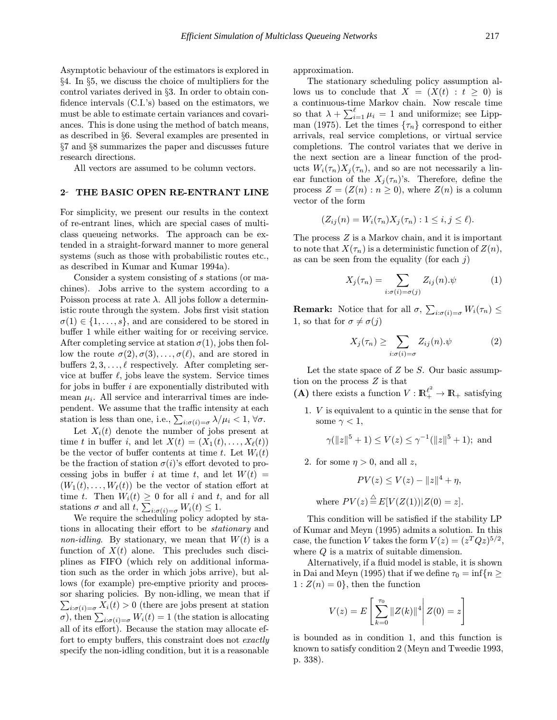Asymptotic behaviour of the estimators is explored in §4. In §5, we discuss the choice of multipliers for the control variates derived in §3. In order to obtain confidence intervals (C.I.'s) based on the estimators, we must be able to estimate certain variances and covariances. This is done using the method of batch means, as described in §6. Several examples are presented in §7 and §8 summarizes the paper and discusses future research directions.

All vectors are assumed to be column vectors.

## 2 THE BASIC OPEN RE-ENTRANT LINE

For simplicity, we present our results in the context of re-entrant lines, which are special cases of multiclass queueing networks. The approach can be extended in a straight-forward manner to more general systems (such as those with probabilistic routes etc., as described in Kumar and Kumar 1994a).

Consider a system consisting of s stations (or machines). Jobs arrive to the system according to a Poisson process at rate  $\lambda$ . All jobs follow a deterministic route through the system. Jobs first visit station  $\sigma(1) \in \{1, \ldots, s\}$ , and are considered to be stored in buffer 1 while either waiting for or receiving service. After completing service at station  $\sigma(1)$ , jobs then follow the route  $\sigma(2), \sigma(3), \ldots, \sigma(\ell)$ , and are stored in buffers  $2, 3, \ldots, \ell$  respectively. After completing service at buffer  $\ell$ , jobs leave the system. Service times for jobs in buffer  $i$  are exponentially distributed with mean  $\mu_i$ . All service and interarrival times are independent. We assume that the traffic intensity at each station is less than one, i.e.,  $\sum_{i:\sigma(i)=\sigma} \lambda/\mu_i < 1$ ,  $\forall \sigma$ .

Let  $X_i(t)$  denote the number of jobs present at time t in buffer i, and let  $X(t) = (X_1(t), \ldots, X_\ell(t))$ be the vector of buffer contents at time t. Let  $W_i(t)$ be the fraction of station  $\sigma(i)$ 's effort devoted to processing jobs in buffer i at time t, and let  $W(t) =$  $(W_1(t),..., W_\ell(t))$  be the vector of station effort at time t. Then  $W_i(t) \geq 0$  for all i and t, and for all stations  $\sigma$  and all  $t, \sum_{i:\sigma(i)=\sigma} W_i(t) \leq 1$ .

We require the scheduling policy adopted by stations in allocating their effort to be stationary and non-idling. By stationary, we mean that  $W(t)$  is a function of  $X(t)$  alone. This precludes such disciplines as FIFO (which rely on additional information such as the order in which jobs arrive), but allows (for example) pre-emptive priority and process or sharing policies. By non-idling, we mean that if  $\sum_{i:\sigma(i)=\sigma} X_i(t) > 0$  (there are jobs present at station  $\sigma$ ), then  $\sum_{i:\sigma(i)=\sigma} W_i(t) = 1$  (the station is allocating all of its effort). Because the station may allocate effort to empty buffers, this constraint does not exactly specify the non-idling condition, but it is a reasonable approximation.

The stationary scheduling policy assumption allows us to conclude that  $X = (X(t) : t \geq 0)$  is a continuous-time Markov chain. Now rescale time so that  $\lambda + \sum_{i=1}^{\ell} \mu_i = 1$  and uniformize; see Lippman (1975). Let the times  $\{\tau_n\}$  correspond to either arrivals, real service completions, or virtual service completions. The control variates that we derive in the next section are a linear function of the products  $W_i(\tau_n)X_j(\tau_n)$ , and so are not necessarily a linear function of the  $X_j(\tau_n)$ 's. Therefore, define the process  $Z = (Z(n) : n \ge 0)$ , where  $Z(n)$  is a column vector of the form

$$
(Z_{ij}(n) = W_i(\tau_n)X_j(\tau_n) : 1 \leq i, j \leq \ell).
$$

The process Z is a Markov chain, and it is important to note that  $X(\tau_n)$  is a deterministic function of  $Z(n)$ , as can be seen from the equality (for each  $j$ )

$$
X_j(\tau_n) = \sum_{i:\sigma(i) = \sigma(j)} Z_{ij}(n) . \psi \tag{1}
$$

**Remark:** Notice that for all  $\sigma$ ,  $\sum_{i:\sigma(i)=\sigma} W_i(\tau_n) \leq$ 1, so that for  $\sigma \neq \sigma(i)$ 

$$
X_j(\tau_n) \ge \sum_{i:\sigma(i)=\sigma} Z_{ij}(n) . \psi \tag{2}
$$

Let the state space of  $Z$  be  $S$ . Our basic assumption on the process Z is that

(A) there exists a function  $V: \mathbb{R}^{\ell^2}_+ \to \mathbb{R}_+$  satisfying

1. V is equivalent to a quintic in the sense that for some  $\gamma < 1$ ,

$$
\gamma(\|z\|^5+1) \le V(z) \le \gamma^{-1}(\|z\|^5+1);
$$
 and

2. for some  $\eta > 0$ , and all z,

$$
PV(z) \le V(z) - ||z||^4 + \eta,
$$

where  $PV(z) \stackrel{\triangle}{=} E[V(Z(1))|Z(0) = z].$ 

This condition will be satisfied if the stability LP of Kumar and Meyn (1995) admits a solution. In this case, the function V takes the form  $V(z) = (z^T Q z)^{5/2}$ , where  $Q$  is a matrix of suitable dimension.

Alternatively, if a fluid model is stable, it is shown in Dai and Meyn (1995) that if we define  $\tau_0 = \inf\{n \geq 1\}$  $1: Z(n) = 0$ , then the function

$$
V(z) = E\left[\sum_{k=0}^{\tau_0} ||Z(k)||^4 | Z(0) = z\right]
$$

is bounded as in condition 1, and this function is known to satisfy condition 2 (Meyn and Tweedie 1993, p. 338).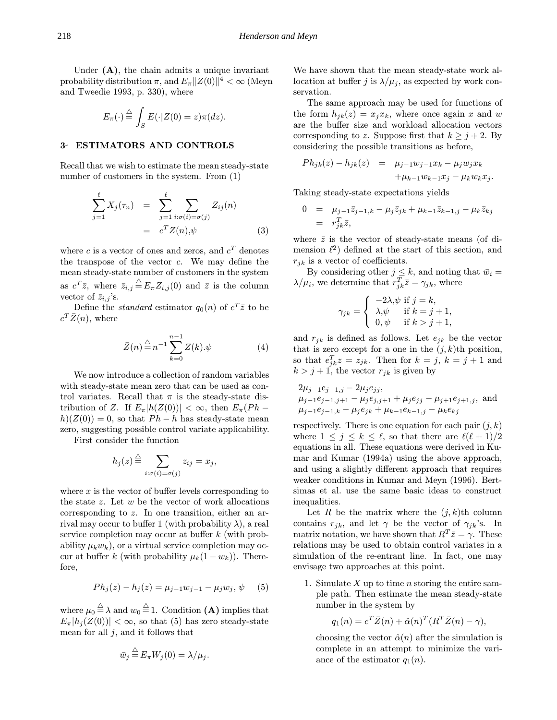Under  $(A)$ , the chain admits a unique invariant probability distribution  $\pi$ , and  $E_{\pi}||Z(0)||^4 < \infty$  (Meyn and Tweedie 1993, p. 330), where

$$
E_{\pi}(\cdot) \stackrel{\triangle}{=} \int_{S} E(\cdot | Z(0) = z) \pi(dz).
$$

## 3 ESTIMATORS AND CONTROLS

Recall that we wish to estimate the mean steady-state number of customers in the system. From (1)

$$
\sum_{j=1}^{\ell} X_j(\tau_n) = \sum_{j=1}^{\ell} \sum_{i:\sigma(i)=\sigma(j)} Z_{ij}(n)
$$

$$
= c^T Z(n), \psi
$$
(3)

where c is a vector of ones and zeros, and  $c^T$  denotes the transpose of the vector c. We may define the mean steady-state number of customers in the system as  $c^T \overline{z}$ , where  $\overline{z}_{i,j} \stackrel{\triangle}{=} E_{\pi} Z_{i,j}(0)$  and  $\overline{z}$  is the column vector of  $\bar{z}_{i,j}$ 's.

Define the *standard* estimator  $q_0(n)$  of  $c^T \overline{z}$  to be  $c^T\bar{Z}(n)$ , where

$$
\bar{Z}(n) \stackrel{\triangle}{=} n^{-1} \sum_{k=0}^{n-1} Z(k) . \psi \tag{4}
$$

We now introduce a collection of random variables with steady-state mean zero that can be used as control variates. Recall that  $\pi$  is the steady-state distribution of Z. If  $E_{\pi}$  $|h(Z(0))| < \infty$ , then  $E_{\pi}(Ph$  $h(Z(0)) = 0$ , so that  $Ph - h$  has steady-state mean zero, suggesting possible control variate applicability.

First consider the function

$$
h_j(z) \stackrel{\triangle}{=} \sum_{i:\sigma(i)=\sigma(j)} z_{ij} = x_j,
$$

where  $x$  is the vector of buffer levels corresponding to the state  $z$ . Let  $w$  be the vector of work allocations corresponding to z. In one transition, either an arrival may occur to buffer 1 (with probability  $\lambda$ ), a real service completion may occur at buffer k (with probability  $\mu_k w_k$ , or a virtual service completion may occur at buffer k (with probability  $\mu_k(1-w_k)$ ). Therefore,

$$
Ph_j(z) - h_j(z) = \mu_{j-1} w_{j-1} - \mu_j w_j, \psi \quad (5)
$$

where  $\mu_0 \stackrel{\triangle}{=} \lambda$  and  $w_0 \stackrel{\triangle}{=} 1$ . Condition (A) implies that  $E_{\pi}|h_i(Z(0))| < \infty$ , so that (5) has zero steady-state mean for all  $j$ , and it follows that

$$
\bar{w}_j \stackrel{\triangle}{=} E_{\pi} W_j(0) = \lambda/\mu_j.
$$

We have shown that the mean steady-state work allocation at buffer j is  $\lambda/\mu_i$ , as expected by work conservation.

The same approach may be used for functions of the form  $h_{jk}(z) = x_j x_k$ , where once again x and w are the buffer size and workload allocation vectors corresponding to z. Suppose first that  $k \geq j+2$ . By considering the possible transitions as before,

$$
Ph_{jk}(z) - h_{jk}(z) = \mu_{j-1}w_{j-1}x_k - \mu_j w_j x_k + \mu_{k-1}w_{k-1}x_j - \mu_k w_k x_j.
$$

Taking steady-state expectations yields

$$
0 = \mu_{j-1} \bar{z}_{j-1,k} - \mu_j \bar{z}_{jk} + \mu_{k-1} \bar{z}_{k-1,j} - \mu_k \bar{z}_{kj} = r_{jk}^T \bar{z},
$$

where  $\bar{z}$  is the vector of steady-state means (of dimension  $\ell^2$ ) defined at the start of this section, and  $r_{ik}$  is a vector of coefficients.

By considering other  $j \leq k$ , and noting that  $\bar{w}_i =$  $\lambda/\mu_i$ , we determine that  $r_{jk}^T \bar{z} = \gamma_{jk}$ , where

$$
\gamma_{jk} = \begin{cases}\n-2\lambda \psi & \text{if } j = k, \\
\lambda \psi & \text{if } k = j + 1, \\
0, \psi & \text{if } k > j + 1,\n\end{cases}
$$

and  $r_{jk}$  is defined as follows. Let  $e_{jk}$  be the vector that is zero except for a one in the  $(j, k)$ th position, so that  $e_{jk}^T z = z_{jk}$ . Then for  $k = j$ ,  $k = j + 1$  and  $k > j + 1$ , the vector  $r_{jk}$  is given by

$$
2\mu_{j-1}e_{j-1,j} - 2\mu_j e_{jj},
$$
  
\n
$$
\mu_{j-1}e_{j-1,j+1} - \mu_j e_{j,j+1} + \mu_j e_{jj} - \mu_{j+1}e_{j+1,j},
$$
 and  
\n
$$
\mu_{j-1}e_{j-1,k} - \mu_j e_{jk} + \mu_{k-1}e_{k-1,j} - \mu_k e_{kj}
$$

respectively. There is one equation for each pair  $(j, k)$ where  $1 \leq j \leq k \leq \ell$ , so that there are  $\ell(\ell + 1)/2$ equations in all. These equations were derived in Kumar and Kumar (1994a) using the above approach, and using a slightly different approach that requires weaker conditions in Kumar and Meyn (1996). Bertsimas et al. use the same basic ideas to construct inequalities.

Let R be the matrix where the  $(j, k)$ th column contains  $r_{jk}$ , and let  $\gamma$  be the vector of  $\gamma_{jk}$ 's. In matrix notation, we have shown that  $R^T \bar{z} = \gamma$ . These relations may be used to obtain control variates in a simulation of the re-entrant line. In fact, one may envisage two approaches at this point.

1. Simulate  $X$  up to time  $n$  storing the entire sample path. Then estimate the mean steady-state number in the system by

$$
q_1(n) = c^T \bar{Z}(n) + \hat{\alpha}(n)^T (R^T \bar{Z}(n) - \gamma),
$$

choosing the vector  $\hat{\alpha}(n)$  after the simulation is complete in an attempt to minimize the variance of the estimator  $q_1(n)$ .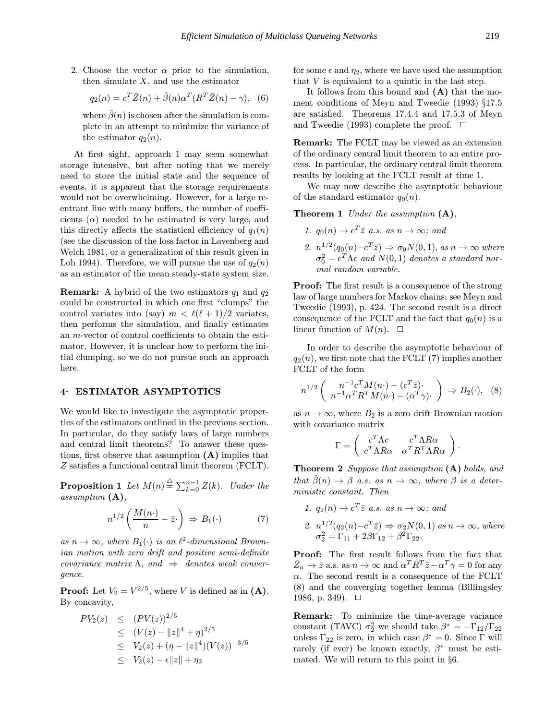2. Choose the vector  $\alpha$  prior to the simulation, then simulate  $X$ , and use the estimator

$$
q_2(n) = c^T \bar{Z}(n) + \hat{\beta}(n)\alpha^T (R^T \bar{Z}(n) - \gamma), \quad (6)
$$

where  $\beta(n)$  is chosen after the simulation is complete in an attempt to minimize the variance of the estimator  $q_2(n)$ .

At first sight, approach 1 may seem somewhat storage intensive, but after noting that we merely need to store the initial state and the sequence of events, it is apparent that the storage requirements would not be overwhelming. However, for a large reentrant line with many buffers, the number of coefficients  $(\alpha)$  needed to be estimated is very large, and this directly affects the statistical efficiency of  $q_1(n)$ (see the discussion of the loss factor in Lavenberg and Welch 1981, or a generalization of this result given in Loh 1994). Therefore, we will pursue the use of  $q_2(n)$ as an estimator of the mean steady-state system size.

**Remark:** A hybrid of the two estimators  $q_1$  and  $q_2$ could be constructed in which one first "clumps" the control variates into (say)  $m < \ell(\ell + 1)/2$  variates, then performs the simulation, and finally estimates an m-vector of control coefficients to obtain the estimator. However, it is unclear how to perform the initial clumping, so we do not pursue such an approach here.

#### 4 ESTIMATOR ASYMPTOTICS

We would like to investigate the asymptotic properties of the estimators outlined in the previous section. In particular, do they satisfy laws of large numbers and central limit theorems? To answer these questions, first observe that assumption  $(A)$  implies that Z satisfies a functional central limit theorem (FCLT).

**Proposition 1** Let  $M(n) \triangleq \sum_{k=0}^{n-1} Z(k)$ . Under the assumption (A),

$$
n^{1/2}\left(\frac{M(n\cdot)}{n} - \bar{z}\cdot\right) \Rightarrow B_1(\cdot) \tag{7}
$$

as  $n \to \infty$ , where  $B_1(\cdot)$  is an  $\ell^2$ -dimensional Brownian motion with zero drift and positive semi-definite covariance matrix  $\Lambda$ , and  $\Rightarrow$  denotes weak convergence.

**Proof:** Let  $V_2 = V^{2/5}$ , where V is defined as in (A). By concavity,

$$
PV_2(z) \leq (PV(z))^{2/5}
$$
  
\n
$$
\leq (V(z) - ||z||^4 + \eta)^{2/5}
$$
  
\n
$$
\leq V_2(z) + (\eta - ||z||^4)(V(z))^{-3/5}
$$
  
\n
$$
\leq V_2(z) - \epsilon ||z|| + \eta_2
$$

for some  $\epsilon$  and  $\eta_2$ , where we have used the assumption that  $V$  is equivalent to a quintic in the last step.

It follows from this bound and (A) that the moment conditions of Meyn and Tweedie (1993) §17.5 are satisfied. Theorems 17.4.4 and 17.5.3 of Meyn and Tweedie (1993) complete the proof.  $\Box$ 

Remark: The FCLT may be viewed as an extension of the ordinary central limit theorem to an entire process. In particular, the ordinary central limit theorem results by looking at the FCLT result at time 1.

We may now describe the asymptotic behaviour of the standard estimator  $q_0(n)$ .

**Theorem 1** Under the assumption  $(A)$ ,

- 1.  $q_0(n) \rightarrow c^T \overline{z}$  a.s. as  $n \rightarrow \infty$ ; and
- 2.  $n^{1/2}(q_0(n)-c^T\bar{z}) \Rightarrow \sigma_0 N(0, 1), \text{ as } n \to \infty \text{ where}$  $\sigma_0^2 = c^T\Lambda c$  and  $N(0, 1)$  denotes a standard normal random variable.

**Proof:** The first result is a consequence of the strong law of large numbers for Markov chains; see Meyn and Tweedie (1993), p. 424. The second result is a direct consequence of the FCLT and the fact that  $q_0(n)$  is a linear function of  $M(n)$ .  $\Box$ 

In order to describe the asymptotic behaviour of  $q_2(n)$ , we first note that the FCLT (7) implies another FCLT of the form

$$
n^{1/2}\left(\begin{array}{c}n^{-1}c^T M(n\cdot)-(c^T\bar{z})\\n^{-1}\alpha^T R^T M(n\cdot)-( \alpha^T\gamma)\cdot\end{array}\right) \Rightarrow B_2(\cdot), \quad (8)
$$

as  $n \to \infty$ , where  $B_2$  is a zero drift Brownian motion with covariance matrix

$$
\Gamma = \left( \begin{array}{cc} c^T \Lambda c & c^T \Lambda R \alpha \\ c^T \Lambda R \alpha & \alpha^T R^T \Lambda R \alpha \end{array} \right).
$$

Theorem 2 Suppose that assumption (A) holds, and that  $\hat{\beta}(n) \rightarrow \beta$  a.s. as  $n \rightarrow \infty$ , where  $\beta$  is a deterministic constant. Then

1.  $q_2(n) \rightarrow c^T \overline{z}$  a.s. as  $n \rightarrow \infty$ ; and 2.  $n^{1/2}(q_2(n)-c^T\bar{z}) \Rightarrow \sigma_2N(0,1)$  as  $n \to \infty$ , where  $\sigma_2^2 = \Gamma_{11} + 2\beta \Gamma_{12} + \beta^2 \Gamma_{22}.$ 

Proof: The first result follows from the fact that  $\bar{Z}_n \to \bar{z}$  a.s. as  $n \to \infty$  and  $\alpha^T R^T \bar{z} - \alpha^T \gamma = 0$  for any  $\alpha$ . The second result is a consequence of the FCLT (8) and the converging together lemma (Billingsley 1986, p. 349).  $\Box$ 

Remark: To minimize the time-average variance constant (TAVC)  $\sigma_2^2$  we should take  $\beta^* = -\Gamma_{12}/\Gamma_{22}$ unless  $\Gamma_{22}$  is zero, in which case  $\beta^* = 0$ . Since  $\Gamma$  will rarely (if ever) be known exactly,  $\beta^*$  must be estimated. We will return to this point in §6.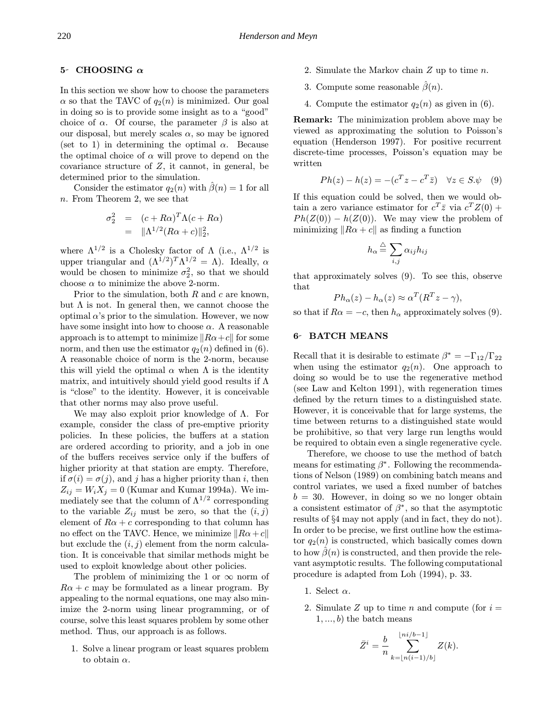# 5- CHOOSING  $\alpha$

In this section we show how to choose the parameters  $\alpha$  so that the TAVC of  $q_2(n)$  is minimized. Our goal in doing so is to provide some insight as to a "good" choice of  $\alpha$ . Of course, the parameter  $\beta$  is also at our disposal, but merely scales  $\alpha$ , so may be ignored (set to 1) in determining the optimal  $\alpha$ . Because the optimal choice of  $\alpha$  will prove to depend on the covariance structure of  $Z$ , it cannot, in general, be determined prior to the simulation.

Consider the estimator  $q_2(n)$  with  $\beta(n) = 1$  for all n. From Theorem 2, we see that

$$
\sigma_2^2 = (c + R\alpha)^T \Lambda (c + R\alpha)
$$
  
= 
$$
\|\Lambda^{1/2} (R\alpha + c)\|_2^2,
$$

where  $\Lambda^{1/2}$  is a Cholesky factor of  $\Lambda$  (i.e.,  $\Lambda^{1/2}$  is upper triangular and  $(\Lambda^{1/2})^T \Lambda^{1/2} = \Lambda$ ). Ideally,  $\alpha$ would be chosen to minimize  $\sigma_2^2$ , so that we should choose  $\alpha$  to minimize the above 2-norm.

Prior to the simulation, both  $R$  and  $c$  are known, but  $\Lambda$  is not. In general then, we cannot choose the optimal  $\alpha$ 's prior to the simulation. However, we now have some insight into how to choose  $\alpha$ . A reasonable approach is to attempt to minimize  $\|R\alpha+c\|$  for some norm, and then use the estimator  $q_2(n)$  defined in (6). A reasonable choice of norm is the 2-norm, because this will yield the optimal  $\alpha$  when  $\Lambda$  is the identity matrix, and intuitively should yield good results if  $\Lambda$ is "close" to the identity. However, it is conceivable that other norms may also prove useful.

We may also exploit prior knowledge of  $\Lambda$ . For example, consider the class of pre-emptive priority policies. In these policies, the buffers at a station are ordered according to priority, and a job in one of the buffers receives service only if the buffers of higher priority at that station are empty. Therefore, if  $\sigma(i) = \sigma(j)$ , and j has a higher priority than i, then  $Z_{ij} = W_i X_j = 0$  (Kumar and Kumar 1994a). We immediately see that the column of  $\Lambda^{1/2}$  corresponding to the variable  $Z_{ij}$  must be zero, so that the  $(i, j)$ element of  $R\alpha + c$  corresponding to that column has no effect on the TAVC. Hence, we minimize  $\|R\alpha+c\|$ but exclude the  $(i, j)$  element from the norm calculation. It is conceivable that similar methods might be used to exploit knowledge about other policies.

The problem of minimizing the 1 or  $\infty$  norm of  $R\alpha + c$  may be formulated as a linear program. By appealing to the normal equations, one may also minimize the 2-norm using linear programming, or of course, solve this least squares problem by some other method. Thus, our approach is as follows.

1. Solve a linear program or least squares problem to obtain  $\alpha$ .

- 2. Simulate the Markov chain Z up to time n.
- 3. Compute some reasonable  $\hat{\beta}(n)$ .
- 4. Compute the estimator  $q_2(n)$  as given in (6).

Remark: The minimization problem above may be viewed as approximating the solution to Poisson's equation (Henderson 1997). For positive recurrent discrete-time processes, Poisson's equation may be written

$$
Ph(z) - h(z) = -(c^T z - c^T \bar{z}) \quad \forall z \in S.\psi \quad (9)
$$

If this equation could be solved, then we would obtain a zero variance estimator for  $c^T \overline{z}$  via  $c^T Z(0)$  +  $Ph(Z(0)) - h(Z(0))$ . We may view the problem of minimizing  $\|R\alpha + c\|$  as finding a function

$$
h_{\alpha} \stackrel{\triangle}{=} \sum_{i,j} \alpha_{ij} h_{ij}
$$

that approximately solves (9). To see this, observe that

$$
Ph_{\alpha}(z) - h_{\alpha}(z) \approx \alpha^{T} (R^{T}z - \gamma),
$$

so that if  $R\alpha = -c$ , then  $h_{\alpha}$  approximately solves (9).

## **6- BATCH MEANS**

Recall that it is desirable to estimate  $\beta^* = -\Gamma_{12}/\Gamma_{22}$ when using the estimator  $q_2(n)$ . One approach to doing so would be to use the regenerative method (see Law and Kelton 1991), with regeneration times defined by the return times to a distinguished state. However, it is conceivable that for large systems, the time between returns to a distinguished state would be prohibitive, so that very large run lengths would be required to obtain even a single regenerative cycle.

Therefore, we choose to use the method of batch means for estimating  $\beta^*$ . Following the recommendations of Nelson (1989) on combining batch means and control variates, we used a fixed number of batches  $b = 30$ . However, in doing so we no longer obtain a consistent estimator of  $\beta^*$ , so that the asymptotic results of §4 may not apply (and in fact, they do not). In order to be precise, we first outline how the estimator  $q_2(n)$  is constructed, which basically comes down to how  $\beta(n)$  is constructed, and then provide the relevant asymptotic results. The following computational procedure is adapted from Loh (1994), p. 33.

- 1. Select  $\alpha$ .
- 2. Simulate Z up to time n and compute (for  $i =$  $1, \ldots, b)$  the batch means

$$
\bar{Z}^i = \frac{b}{n} \sum_{k=\lfloor n(i-1)/b \rfloor}^{\lfloor ni/b-1 \rfloor} Z(k).
$$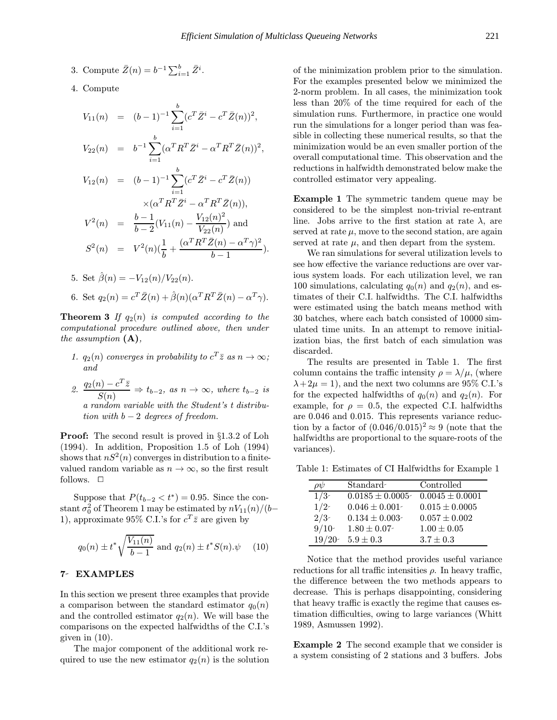- 3. Compute  $\bar{Z}(n) = b^{-1} \sum_{i=1}^{b} \bar{Z}^i$ .
- 4. Compute

$$
V_{11}(n) = (b-1)^{-1} \sum_{i=1}^{b} (c^T \bar{Z}^i - c^T \bar{Z}(n))^2,
$$
  
\n
$$
V_{22}(n) = b^{-1} \sum_{i=1}^{b} (\alpha^T R^T \bar{Z}^i - \alpha^T R^T \bar{Z}(n))^2,
$$
  
\n
$$
V_{12}(n) = (b-1)^{-1} \sum_{i=1}^{b} (c^T \bar{Z}^i - c^T \bar{Z}(n))
$$
  
\n
$$
\times (\alpha^T R^T \bar{Z}^i - \alpha^T R^T \bar{Z}(n)),
$$
  
\n
$$
V^2(n) = \frac{b-1}{b-2} (V_{11}(n) - \frac{V_{12}(n)^2}{V_{22}(n)}) \text{ and }
$$
  
\n
$$
S^2(n) = V^2(n) (\frac{1}{b} + \frac{(\alpha^T R^T \bar{Z}(n) - \alpha^T \gamma)^2}{b-1}).
$$

5. Set  $\hat{\beta}(n) = -V_{12}(n)/V_{22}(n)$ . 6. Set  $q_2(n) = c^T \overline{Z}(n) + \hat{\beta}(n)(\alpha^T R^T \overline{Z}(n) - \alpha^T \gamma)$ .

**Theorem 3** If  $q_2(n)$  is computed according to the computational procedure outlined above, then under the assumption  $(A)$ ,

- 1.  $q_2(n)$  converges in probability to  $c^T \overline{z}$  as  $n \to \infty$ ; and
- 2.  $\frac{q_2(n) c^T \bar{z}}{S(n)} \Rightarrow t_{b-2}$ , as  $n \to \infty$ , where  $t_{b-2}$  is a random variable with the Student's t distribution with  $b-2$  degrees of freedom.

Proof: The second result is proved in §1.3.2 of Loh (1994). In addition, Proposition 1.5 of Loh (1994) shows that  $nS^2(n)$  converges in distribution to a finitevalued random variable as  $n \to \infty$ , so the first result follows.  $\Box$ 

Suppose that  $P(t_{b-2} < t^*) = 0.95$ . Since the constant  $\sigma_0^2$  of Theorem 1 may be estimated by  $nV_{11}(n)/(b-$ 1), approximate 95% C.I.'s for  $c^T \overline{z}$  are given by

$$
q_0(n) \pm t^* \sqrt{\frac{V_{11}(n)}{b-1}}
$$
 and  $q_2(n) \pm t^* S(n) . \psi$  (10)

#### 7- EXAMPLES

In this section we present three examples that provide a comparison between the standard estimator  $q_0(n)$ and the controlled estimator  $q_2(n)$ . We will base the comparisons on the expected halfwidths of the C.I.'s given in (10).

The major component of the additional work required to use the new estimator  $q_2(n)$  is the solution of the minimization problem prior to the simulation. For the examples presented below we minimized the 2-norm problem. In all cases, the minimization took less than 20% of the time required for each of the simulation runs. Furthermore, in practice one would run the simulations for a longer period than was feasible in collecting these numerical results, so that the minimization would be an even smaller portion of the overall computational time. This observation and the reductions in halfwidth demonstrated below make the controlled estimator very appealing.

Example 1 The symmetric tandem queue may be considered to be the simplest non-trivial re-entrant line. Jobs arrive to the first station at rate  $\lambda$ , are served at rate  $\mu$ , move to the second station, are again served at rate  $\mu$ , and then depart from the system.

We ran simulations for several utilization levels to see how effective the variance reductions are over various system loads. For each utilization level, we ran 100 simulations, calculating  $q_0(n)$  and  $q_2(n)$ , and estimates of their C.I. halfwidths. The C.I. halfwidths were estimated using the batch means method with 30 batches, where each batch consisted of 10000 simulated time units. In an attempt to remove initialization bias, the first batch of each simulation was discarded.

The results are presented in Table 1. The first column contains the traffic intensity  $\rho = \lambda/\mu$ , (where  $\lambda + 2\mu = 1$ , and the next two columns are 95% C.I.'s for the expected halfwidths of  $q_0(n)$  and  $q_2(n)$ . For example, for  $\rho = 0.5$ , the expected C.I. halfwidths are 0.046 and 0.015. This represents variance reduction by a factor of  $(0.046/0.015)^2 \approx 9$  (note that the halfwidths are proportional to the square-roots of the variances).

Table 1: Estimates of CI Halfwidths for Example 1

| $\rho\psi$    | Standard            | Controlled          |
|---------------|---------------------|---------------------|
| $\frac{1}{3}$ | $0.0185 \pm 0.0005$ | $0.0045 \pm 0.0001$ |
| 1/2           | $0.046 \pm 0.001$   | $0.015 \pm 0.0005$  |
| 2/3           | $0.134 \pm 0.003$   | $0.057 \pm 0.002$   |
| 9/10          | $1.80 \pm 0.07$     | $1.00 \pm 0.05$     |
| 19/20         | $5.9 \pm 0.3$       | $3.7 \pm 0.3$       |

Notice that the method provides useful variance reductions for all traffic intensities  $\rho$ . In heavy traffic, the difference between the two methods appears to decrease. This is perhaps disappointing, considering that heavy traffic is exactly the regime that causes estimation difficulties, owing to large variances (Whitt 1989, Asmussen 1992).

Example 2 The second example that we consider is a system consisting of 2 stations and 3 buffers. Jobs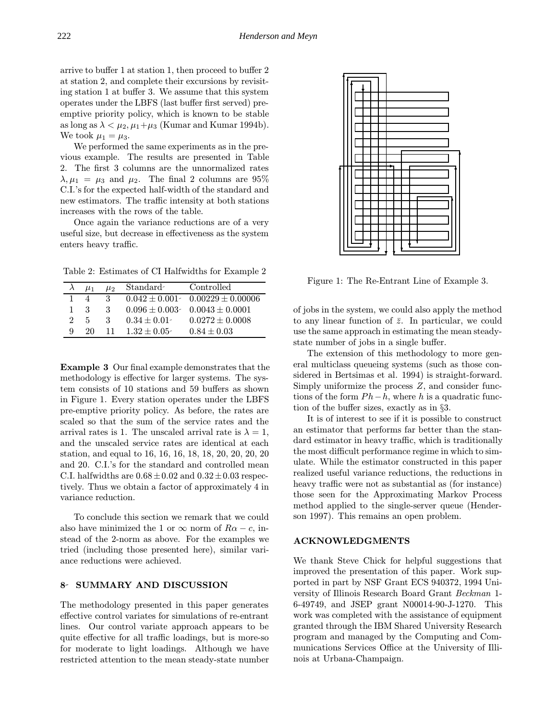arrive to buffer 1 at station 1, then proceed to buffer 2 at station 2, and complete their excursions by revisiting station 1 at buffer 3. We assume that this system operates under the LBFS (last buffer first served) preemptive priority policy, which is known to be stable as long as  $\lambda < \mu_2, \mu_1+\mu_3$  (Kumar and Kumar 1994b). We took  $\mu_1 = \mu_3$ .

We performed the same experiments as in the previous example. The results are presented in Table 2. The first 3 columns are the unnormalized rates  $\lambda, \mu_1 = \mu_3$  and  $\mu_2$ . The final 2 columns are 95% C.I.'s for the expected half-width of the standard and new estimators. The traffic intensity at both stations increases with the rows of the table.

Once again the variance reductions are of a very useful size, but decrease in effectiveness as the system enters heavy traffic.

Table 2: Estimates of CI Halfwidths for Example 2

|               | $\mu_1$ | $\mu_2$ | Standard        | Controlled                              |
|---------------|---------|---------|-----------------|-----------------------------------------|
|               |         | З       |                 | $0.042 \pm 0.001$ $0.00229 \pm 0.00006$ |
|               | 3       | 3       |                 | $0.096 \pm 0.003$ $0.0043 \pm 0.0001$   |
| $\mathcal{D}$ | 5       | 3       | $0.34 \pm 0.01$ | $0.0272 \pm 0.0008$                     |
| Q             | 20      | 11      | $1.32 + 0.05$   | $0.84 \pm 0.03$                         |

Example 3 Our final example demonstrates that the methodology is effective for larger systems. The system consists of 10 stations and 59 buffers as shown in Figure 1. Every station operates under the LBFS pre-emptive priority policy. As before, the rates are scaled so that the sum of the service rates and the arrival rates is 1. The unscaled arrival rate is  $\lambda = 1$ . and the unscaled service rates are identical at each station, and equal to 16, 16, 16, 18, 18, 20, 20, 20, 20 and 20. C.I.'s for the standard and controlled mean C.I. halfwidths are  $0.68 \pm 0.02$  and  $0.32 \pm 0.03$  respectively. Thus we obtain a factor of approximately 4 in variance reduction.

To conclude this section we remark that we could also have minimized the 1 or  $\infty$  norm of  $R\alpha - c$ , instead of the 2-norm as above. For the examples we tried (including those presented here), similar variance reductions were achieved.

## 8- SUMMARY AND DISCUSSION

The methodology presented in this paper generates effective control variates for simulations of re-entrant lines. Our control variate approach appears to be quite effective for all traffic loadings, but is more-so for moderate to light loadings. Although we have restricted attention to the mean steady-state number



Figure 1: The Re-Entrant Line of Example 3.

of jobs in the system, we could also apply the method to any linear function of  $\bar{z}$ . In particular, we could use the same approach in estimating the mean steadystate number of jobs in a single buffer.

The extension of this methodology to more general multiclass queueing systems (such as those considered in Bertsimas et al. 1994) is straight-forward. Simply uniformize the process Z, and consider functions of the form  $Ph-h$ , where h is a quadratic function of the buffer sizes, exactly as in §3.

It is of interest to see if it is possible to construct an estimator that performs far better than the standard estimator in heavy traffic, which is traditionally the most difficult performance regime in which to simulate. While the estimator constructed in this paper realized useful variance reductions, the reductions in heavy traffic were not as substantial as (for instance) those seen for the Approximating Markov Process method applied to the single-server queue (Henderson 1997). This remains an open problem.

#### ACKNOWLEDGMENTS

We thank Steve Chick for helpful suggestions that improved the presentation of this paper. Work supported in part by NSF Grant ECS 940372, 1994 University of Illinois Research Board Grant Beckman 1- 6-49749, and JSEP grant N00014-90-J-1270. This work was completed with the assistance of equipment granted through the IBM Shared University Research program and managed by the Computing and Communications Services Office at the University of Illinois at Urbana-Champaign.